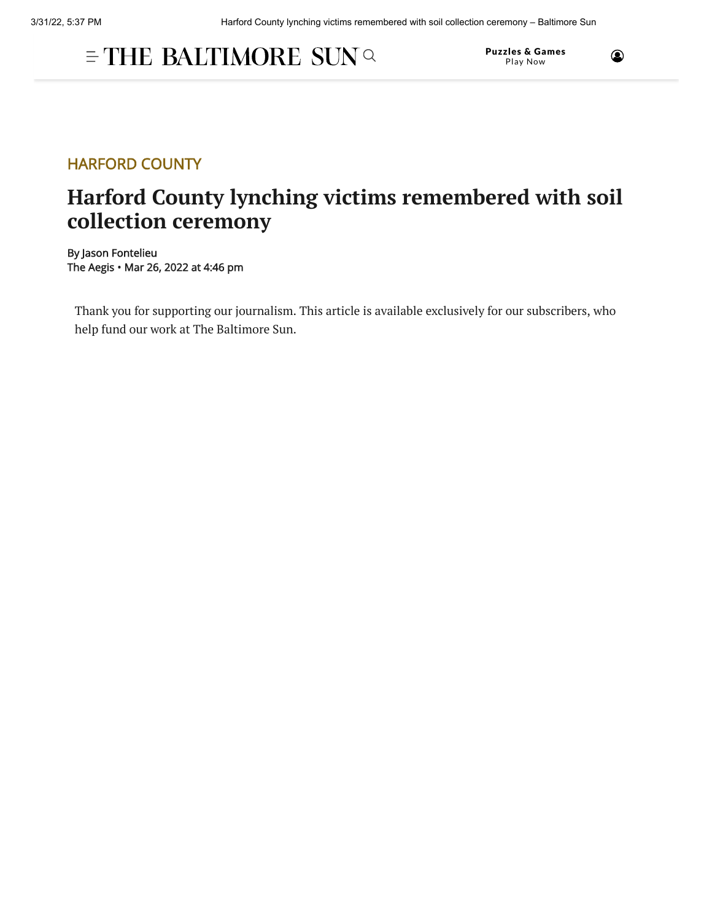## $\equiv$  THE BALTIMORE SUN  $\propto$

Puzzles & Games Play Now



## HARFORD COUNTY

## **Harford County lynching victims remembered with soil collection ceremony**

By Jason Fontelieu The Aegis • Mar 26, 2022 at 4:46 pm

Thank you for supporting our journalism. This article is available exclusively for our subscribers, who help fund our work at The Baltimore Sun.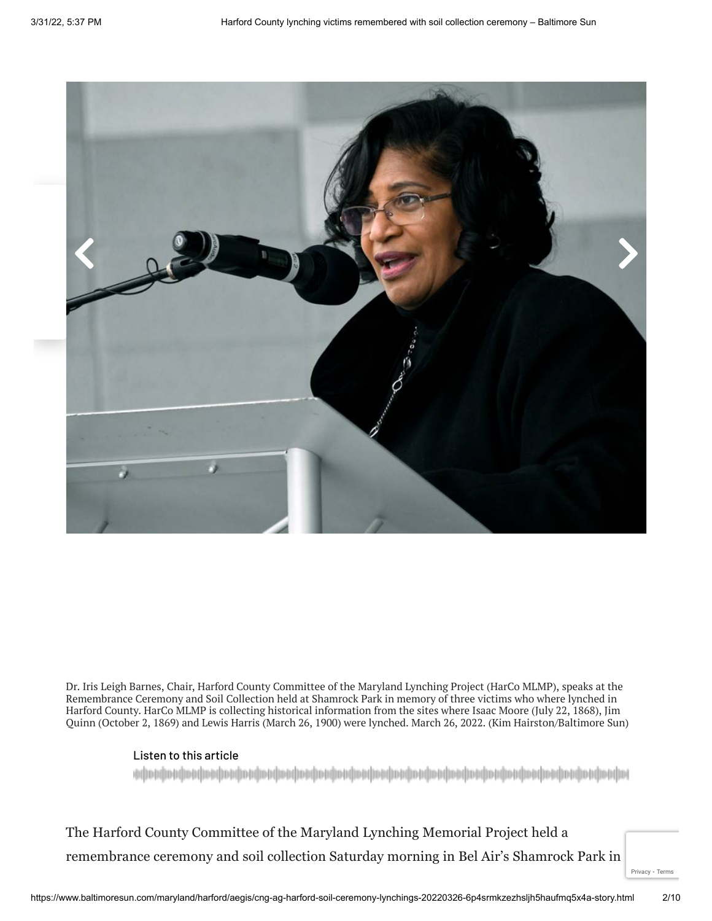

Dr. Iris Leigh Barnes, Chair, Harford County Committee of the Maryland Lynching Project (HarCo MLMP), speaks at the Remembrance Ceremony and Soil Collection held at Shamrock Park in memory of three victims who where lynched in Harford County. HarCo MLMP is collecting historical information from the sites where Isaac Moore (July 22, 1868), Jim Quinn (October 2, 1869) and Lewis Harris (March 26, 1900) were lynched. March 26, 2022. (Kim Hairston/Baltimore Sun)

## Listen to this article

 The Harford County Committee of the Maryland Lynching Memorial Project held a remembrance ceremony and soil collection Saturday morning in Bel Air's Shamrock Park in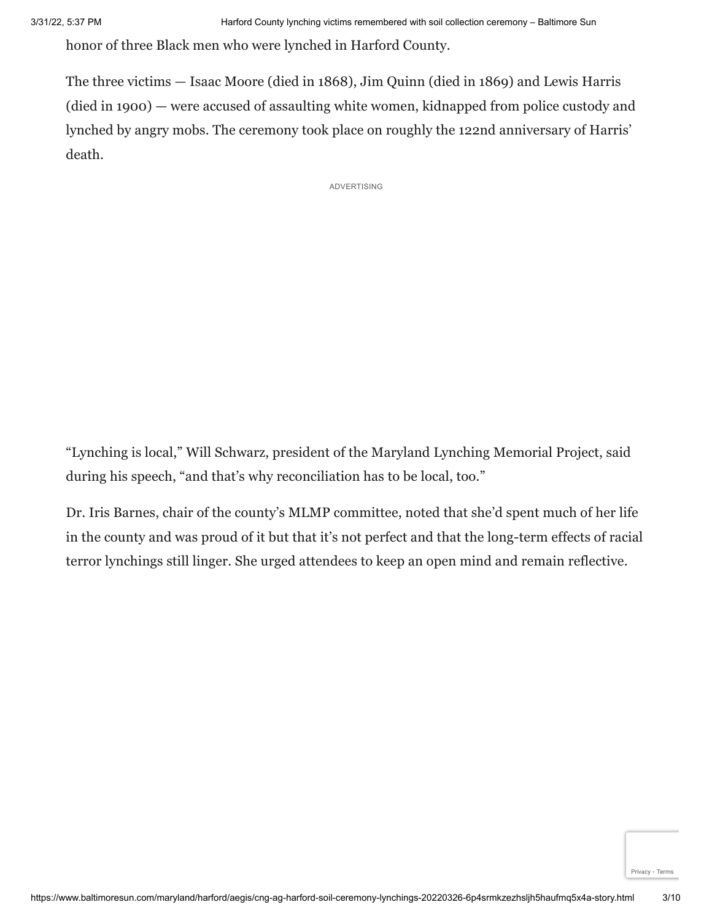honor of three Black men who were lynched in Harford County.

 The three victims — Isaac Moore (died in 1868), Jim Quinn (died in 1869) and Lewis Harris (died in 1900) — were accused of assaulting white women, kidnapped from police custody and lynched by angry mobs. The ceremony took place on roughly the 122nd anniversary of Harris' death.

ADVERTISING

 "Lynching is local," Will Schwarz, president of the Maryland Lynching Memorial Project, said during his speech, "and that's why reconciliation has to be local, too."

 Dr. Iris Barnes, chair of the county's MLMP committee, noted that she'd spent much of her life in the county and was proud of it but that it's not perfect and that the long-term effects of racial terror lynchings still linger. She urged attendees to keep an open mind and remain reflective.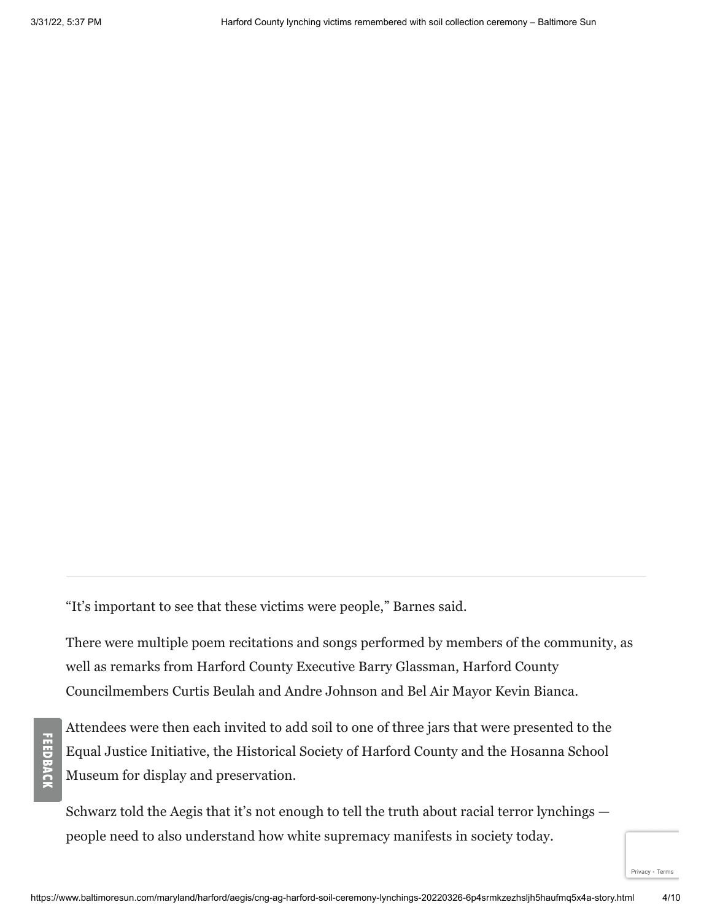**FEED BACK** 

"It's important to see that these victims were people," Barnes said.

 There were multiple poem recitations and songs performed by members of the community, as well as remarks from Harford County Executive Barry Glassman, Harford County Councilmembers Curtis Beulah and Andre Johnson and Bel Air Mayor Kevin Bianca.

 Attendees were then each invited to add soil to one of three jars that were presented to the Equal Justice Initiative, the Historical Society of Harford County and the Hosanna School Museum for display and preservation.

 Schwarz told the Aegis that it's not enough to tell the truth about racial terror lynchings — people need to also understand how white supremacy manifests in society today.